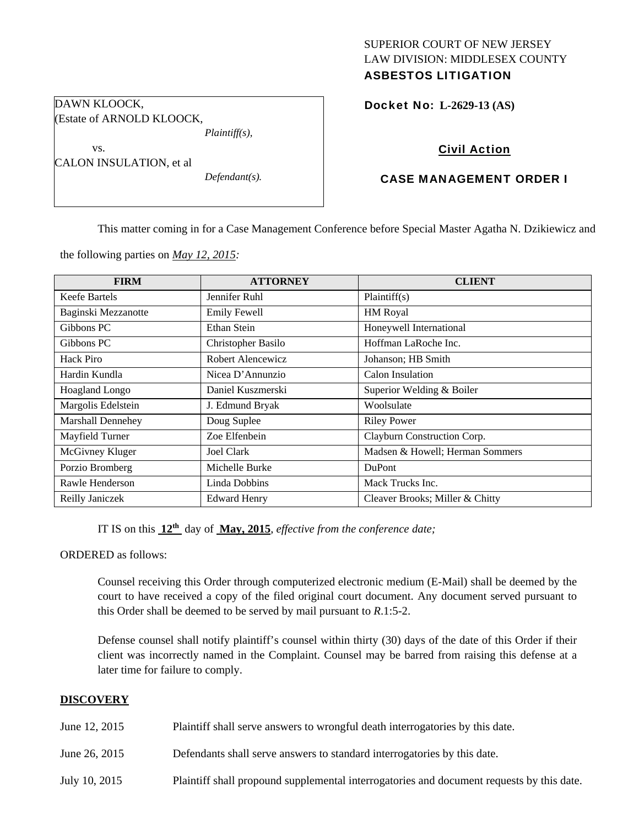## SUPERIOR COURT OF NEW JERSEY LAW DIVISION: MIDDLESEX COUNTY ASBESTOS LITIGATION

Docket No: **L-2629-13 (AS)** 

# Civil Action

## CASE MANAGEMENT ORDER I

This matter coming in for a Case Management Conference before Special Master Agatha N. Dzikiewicz and

the following parties on *May 12, 2015:* 

| <b>FIRM</b>              | <b>ATTORNEY</b>     | <b>CLIENT</b>                   |
|--------------------------|---------------------|---------------------------------|
| Keefe Bartels            | Jennifer Ruhl       | Plaintiff(s)                    |
| Baginski Mezzanotte      | <b>Emily Fewell</b> | <b>HM</b> Royal                 |
| Gibbons PC               | Ethan Stein         | Honeywell International         |
| Gibbons PC               | Christopher Basilo  | Hoffman LaRoche Inc.            |
| Hack Piro                | Robert Alencewicz   | Johanson; HB Smith              |
| Hardin Kundla            | Nicea D'Annunzio    | Calon Insulation                |
| <b>Hoagland Longo</b>    | Daniel Kuszmerski   | Superior Welding & Boiler       |
| Margolis Edelstein       | J. Edmund Bryak     | Woolsulate                      |
| <b>Marshall Dennehey</b> | Doug Suplee         | <b>Riley Power</b>              |
| Mayfield Turner          | Zoe Elfenbein       | Clayburn Construction Corp.     |
| McGivney Kluger          | <b>Joel Clark</b>   | Madsen & Howell; Herman Sommers |
| Porzio Bromberg          | Michelle Burke      | DuPont                          |
| Rawle Henderson          | Linda Dobbins       | Mack Trucks Inc.                |
| Reilly Janiczek          | <b>Edward Henry</b> | Cleaver Brooks; Miller & Chitty |

IT IS on this **12th** day of **May, 2015**, *effective from the conference date;*

ORDERED as follows:

Counsel receiving this Order through computerized electronic medium (E-Mail) shall be deemed by the court to have received a copy of the filed original court document. Any document served pursuant to this Order shall be deemed to be served by mail pursuant to *R*.1:5-2.

Defense counsel shall notify plaintiff's counsel within thirty (30) days of the date of this Order if their client was incorrectly named in the Complaint. Counsel may be barred from raising this defense at a later time for failure to comply.

### **DISCOVERY**

| June 12, 2015 | Plaintiff shall serve answers to wrongful death interrogatories by this date.             |
|---------------|-------------------------------------------------------------------------------------------|
| June 26, 2015 | Defendants shall serve answers to standard interrogatories by this date.                  |
| July 10, 2015 | Plaintiff shall propound supplemental interrogatories and document requests by this date. |

DAWN KLOOCK, (Estate of ARNOLD KLOOCK, *Plaintiff(s),* 

vs.

CALON INSULATION, et al

*Defendant(s).*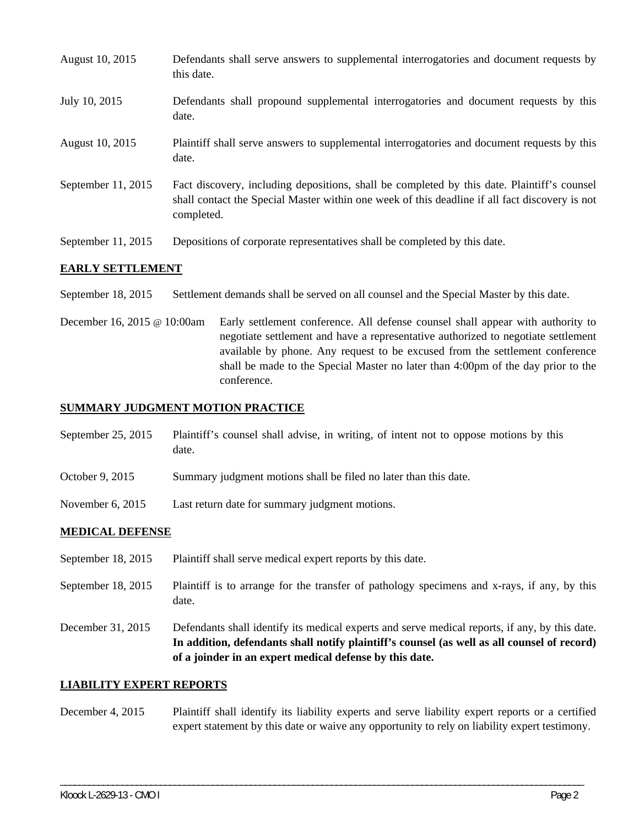| August 10, 2015      | Defendants shall serve answers to supplemental interrogatories and document requests by<br>this date.                                                                                                       |
|----------------------|-------------------------------------------------------------------------------------------------------------------------------------------------------------------------------------------------------------|
| July 10, 2015        | Defendants shall propound supplemental interrogatories and document requests by this<br>date.                                                                                                               |
| August 10, 2015      | Plaintiff shall serve answers to supplemental interrogatories and document requests by this<br>date.                                                                                                        |
| September $11, 2015$ | Fact discovery, including depositions, shall be completed by this date. Plaintiff's counsel<br>shall contact the Special Master within one week of this deadline if all fact discovery is not<br>completed. |
| September 11, 2015   | Depositions of corporate representatives shall be completed by this date.                                                                                                                                   |

### **EARLY SETTLEMENT**

September 18, 2015 Settlement demands shall be served on all counsel and the Special Master by this date.

December 16, 2015 @ 10:00am Early settlement conference. All defense counsel shall appear with authority to negotiate settlement and have a representative authorized to negotiate settlement available by phone. Any request to be excused from the settlement conference shall be made to the Special Master no later than 4:00pm of the day prior to the conference.

### **SUMMARY JUDGMENT MOTION PRACTICE**

September 25, 2015 Plaintiff's counsel shall advise, in writing, of intent not to oppose motions by this date.

- October 9, 2015 Summary judgment motions shall be filed no later than this date.
- November 6, 2015 Last return date for summary judgment motions.

## **MEDICAL DEFENSE**

- September 18, 2015 Plaintiff shall serve medical expert reports by this date.
- September 18, 2015 Plaintiff is to arrange for the transfer of pathology specimens and x-rays, if any, by this date.
- December 31, 2015 Defendants shall identify its medical experts and serve medical reports, if any, by this date. **In addition, defendants shall notify plaintiff's counsel (as well as all counsel of record) of a joinder in an expert medical defense by this date.**

#### **LIABILITY EXPERT REPORTS**

December 4, 2015 Plaintiff shall identify its liability experts and serve liability expert reports or a certified expert statement by this date or waive any opportunity to rely on liability expert testimony.

\_\_\_\_\_\_\_\_\_\_\_\_\_\_\_\_\_\_\_\_\_\_\_\_\_\_\_\_\_\_\_\_\_\_\_\_\_\_\_\_\_\_\_\_\_\_\_\_\_\_\_\_\_\_\_\_\_\_\_\_\_\_\_\_\_\_\_\_\_\_\_\_\_\_\_\_\_\_\_\_\_\_\_\_\_\_\_\_\_\_\_\_\_\_\_\_\_\_\_\_\_\_\_\_\_\_\_\_\_\_